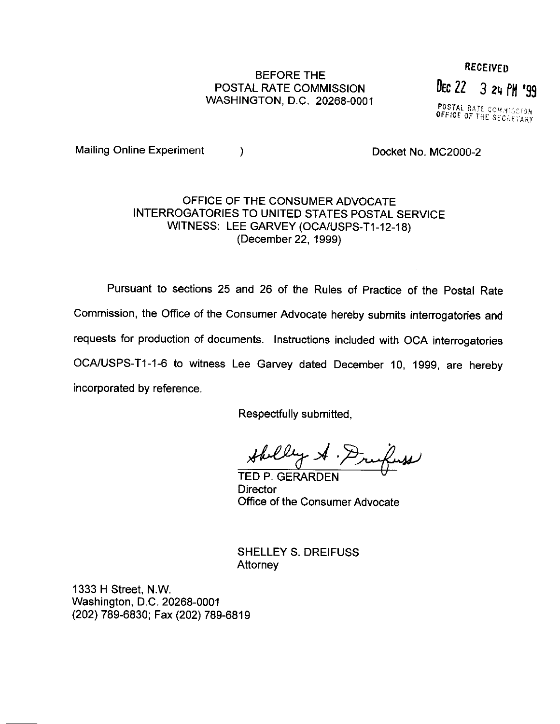## BEFORE THE POSTAL RATE COMMlSSlON WASHINGTON, D.C. 20268-0001

**RECEIVED** DEC 22 3 24 PM '99

**POSTAL RATE COMMISSION**<br>OFFICE OF THE SECRETARY

Mailing Online Experiment (a) a control of the Docket No. MC2000-2

## OFFICE OF THE CONSUMER ADVOCATE INTERROGATORIES TO UNITED STATES POSTAL SERVICE WITNESS: LEE GARVEY (OCA/USPS-T1-12-18) (December 22, 1999)

Pursuant to sections 25 and 26 of the Rules of Practice of the Postal Rate Commission, the Office of the Consumer Advocate hereby submits interrogatories and requests for production of documents. Instructions included with OCA interrogatories OCA/USPS-T1-1-6 to witness Lee Garvey dated December 10, 1999, are hereby incorporated by reference

Respectfully submitted,

TED P. GERARDEN "

**Director** Office of the Consumer Advocate

SHELLEY S. DREIFUSS **Attorney** 

1333 H Street, N.W. Washington, D.C. 20268-0001 (202) 789-6830; Fax (202) 789-6819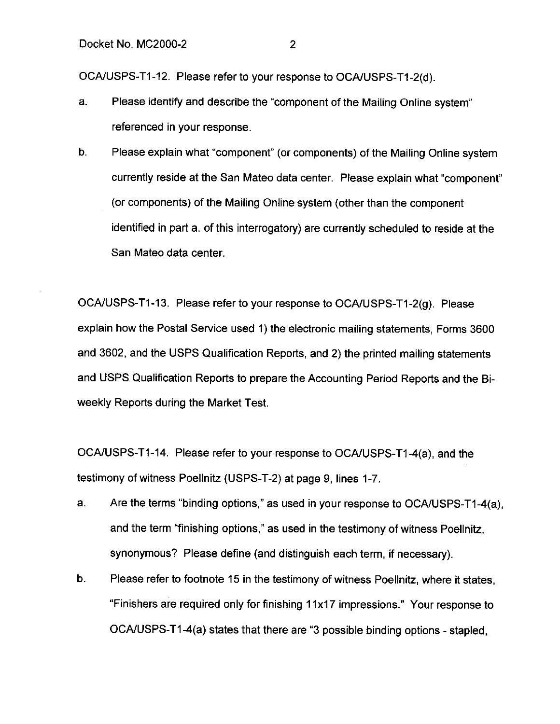OCA/USPS-T1-12. Please refer to your response to OCA/USPS-T1-2(d).

- a. Please identify and describe the "component of the Mailing Online system" referenced in your response.
- b. Please explain what "component" (or components) of the Mailing Online system currently reside at the San Mateo data center. Please explain what "component" (or components) of the Mailing Online system (other than the component identified in part a. of this interrogatory) are currently scheduled to reside at the San Mateo data center.

OCA/USPS-T1-13. Please refer to your response to OCA/USPS-T1-2(g). Please explain how the Postal Service used 1) the electronic mailing statements, Forms 3600 and 3602, and the USPS Qualification Reports, and 2) the printed mailing statements and USPS Qualification Reports to prepare the Accounting Period Reports and the Biweekly Reports during the Market Test.

OCAIUSPS-Tl-14. Please refer to your response to OCA/USPS-Tl-4(a), and the testimony of witness Poellnitz (USPS-T-2) at page 9, lines 1-7.

- a. Are the terms "binding options," as used in your response to OCA/USPS-T1-4(a), and the term "finishing options," as used in the testimony of witness Poellnitz, synonymous? Please define (and distinguish each term, if necessary).
- b. Please refer to footnote 15 in the testimony of witness Poellnitz, where it states, "Finishers are required only for finishing 11x17 impressions." Your response to OOSPS-T1-4(a) states that there are "3 possible binding options - stapled,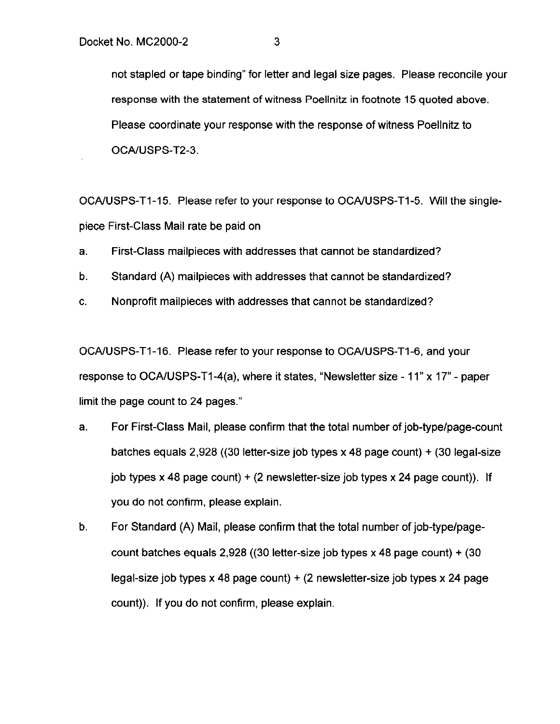not stapled or tape binding" for letter and legal size pages. Please reconcile your response with the statement of witness Poellnitz in footnote 15 quoted above. Please coordinate your response with the response of witness Poellnitz to OCAIUSPS-T2-3.

OCAIUSPS-Tl-15. Please refer to your response to OCA/USPS-Tl-5. Will the singlepiece First-Class Mail rate be paid on

- a. First-Class mailpieces with addresses that cannot be standardized?
- b. Standard (A) mailpieces with addresses that cannot be standardized?
- C. Nonprofit mailpieces with addresses that cannot be standardized?

OCAIUSPS-Tl-16. Please refer to your response to OCA/USPS-Tl-6, and your response to OCAIUSPS-Tl-4(a), where it states, "Newsletter size - 11" x 17" - paper limit the page count to 24 pages."

- a. For First-Class Mail, please confirm that the total number of job-type/page-count batches equals 2,928 ((30 letter-size job types x 48 page count) + (30 legal-size job types x 48 page count) + (2 newsletter-size job types x 24 page count)). If you do not confirm, please explain.
- b. For Standard (A) Mail, please confirm that the total number of job-type/pagecount batches equals  $2,928$  ((30 letter-size job types x 48 page count) + (30 legal-size job types x 48 page count) + (2 newsletter-size job types x 24 page count)). If you do not confirm, please explain.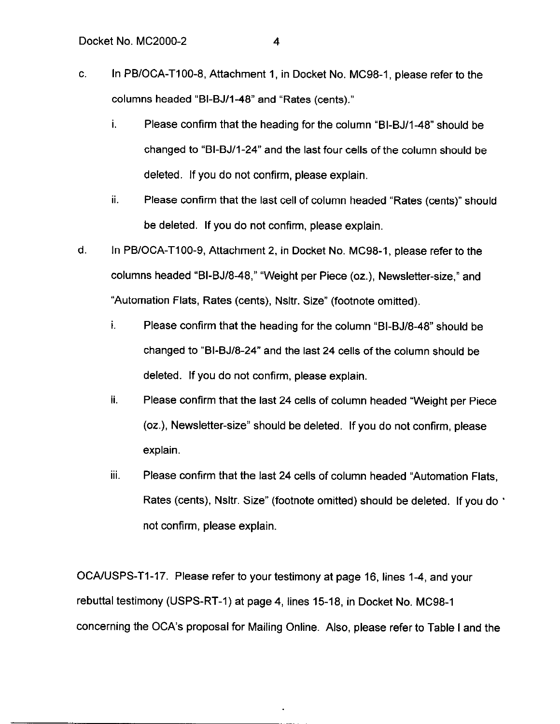- C. In PBIOCA-TIOO-8, Attachment 1, in Docket No. MC98-1, please refer to the columns headed "BI-BJ/l-48" and "Rates (cents)."
	- i. Please confirm that the heading for the column "BI-BJ/l-48" should be changed to "BI-BJ/l-24" and the last four cells of the column should be deleted. If you do not confirm, please explain.
	- ii. Please confirm that the last cell of column headed "Rates (cents)" should be deleted. If you do not confirm, please explain.
- d. In PBIOCA-TIOO-9, Attachment 2, in Docket No. MC98-1, please refer to the columns headed "BI-BJ/8-48," "Weight per Piece (oz.), Newsletter-size," and "Automation Flats, Rates (cents), Nsltr. Size" (footnote omitted).
	- i. Please confirm that the heading for the column "BI-BJ/8-48" should be changed to "81-BJ18-24" and the last 24 cells of the column should be deleted. If you do not confirm, please explain.
	- ii. Please confirm that the last 24 cells of column headed "Weight per Piece (oz.), Newsletter-size" should be deleted. If you do not confirm, please explain.
	- iii. Please confirm that the last 24 cells of column headed "Automation Flats, Rates (cents), Nsltr. Size" (footnote omitted) should be deleted. If you do ' not confirm, please explain.

OCA/USPS-T1-17. Please refer to your testimony at page 16, lines 1-4, and your rebuttal testimony (USPS-RT-1) at page 4, lines 15-18, in Docket No. MC98-1 concerning the OCA's proposal for Mailing Online. Also, please refer to Table I and the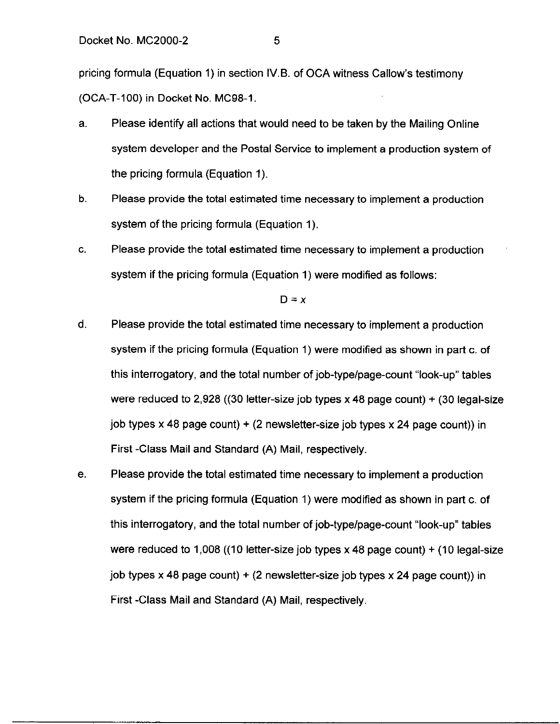pricing formula (Equation 1) in section 1V.B. of OCA witness Callow's testimony (OCA-T-100) in Docket No. MC98-I.

- a. Please identify all actions that would need to be taken by the Mailing Online system developer and the Postal Service to implement a production system of the pricing formula (Equation 1).
- b. Please provide the total estimated time necessary to implement a production system of the pricing formula (Equation 1).
- C. Please provide the total estimated time necessary to implement a production system if the pricing formula (Equation 1) were modified as follows:

 $D = x$ 

- d. Please provide the total estimated time necessary to implement a production system if the pricing formula (Equation 1) were modified as shown in part c. of this interrogatory, and the total number of job-type/page-count "look-up" tables were reduced to 2,928 ((30 letter-size job types x 48 page count)  $+$  (30 legal-size job types  $\times$  48 page count) + (2 newsletter-size job types  $\times$  24 page count)) in First -Class Mail and Standard (A) Mail, respectively.
- e. Please provide the total estimated time necessary to implement a production system if the pricing formula (Equation 1) were modified as shown in part c. of this interrogatory, and the total number of job-type/page-count "look-up" tables were reduced to 1,008 ((10 letter-size job types x 48 page count) + (10 legal-size job types x 48 page count)  $+$  (2 newsletter-size job types x 24 page count)) in First -Class Mail and Standard (A) Mail, respectively.